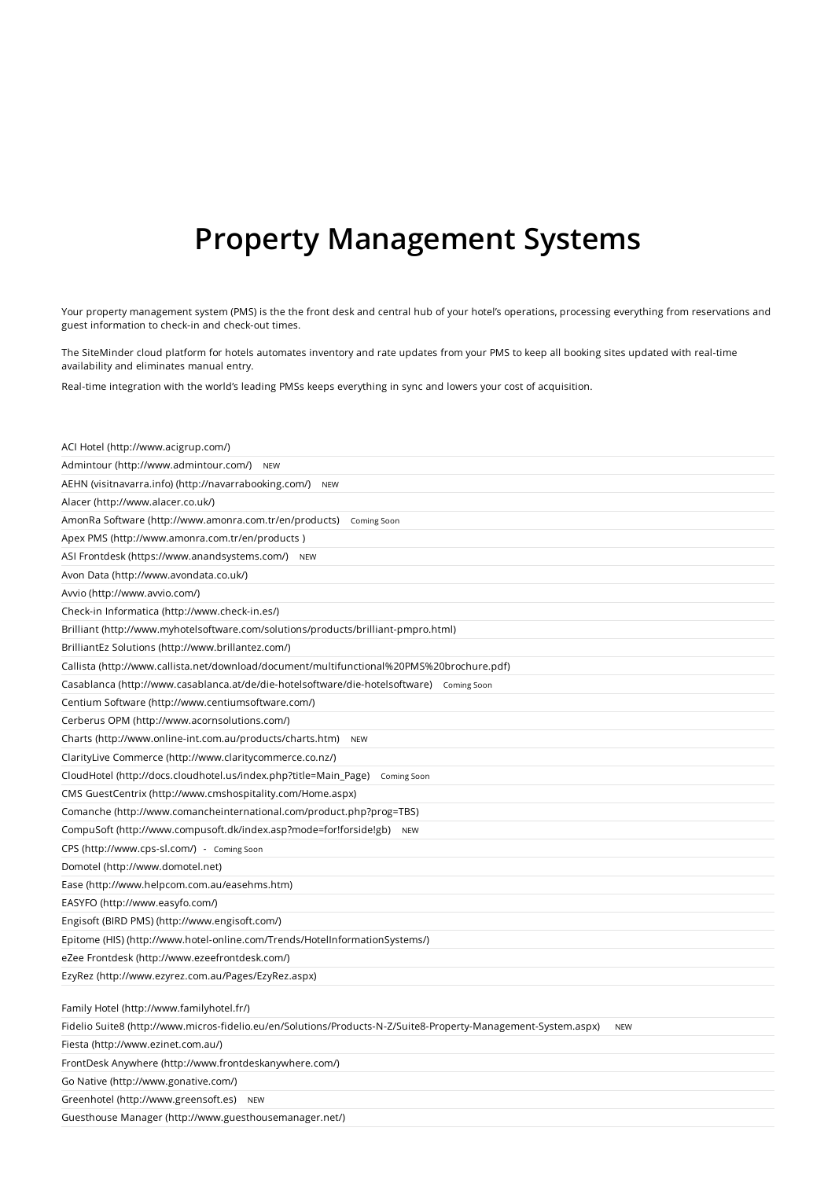# Property Management Systems

Your property management system (PMS) is the the front desk and central hub of your hotel's operations, processing everything from reservations and guest information to check-in and check-out times.

The SiteMinder cloud platform for hotels automates inventory and rate updates from your PMS to keep all booking sites updated with real-time availability and eliminates manual entry.

Real-time integration with the world's leading PMSs keeps everything in sync and lowers your cost of acquisition.

| ACI Hotel (http://www.acigrup.com/)                                                                                                                                       |
|---------------------------------------------------------------------------------------------------------------------------------------------------------------------------|
| Admintour (http://www.admintour.com/)<br><b>NEW</b>                                                                                                                       |
| AEHN (visitnavarra.info) (http://navarrabooking.com/)<br><b>NEW</b>                                                                                                       |
| Alacer (http://www.alacer.co.uk/)                                                                                                                                         |
| AmonRa Software (http://www.amonra.com.tr/en/products)<br>Coming Soon                                                                                                     |
| Apex PMS (http://www.amonra.com.tr/en/products)                                                                                                                           |
| ASI Frontdesk (https://www.anandsystems.com/) NEW                                                                                                                         |
| Avon Data (http://www.avondata.co.uk/)                                                                                                                                    |
| Avvio (http://www.avvio.com/)                                                                                                                                             |
| Check-in Informatica (http://www.check-in.es/)                                                                                                                            |
| Brilliant (http://www.myhotelsoftware.com/solutions/products/brilliant-pmpro.html)                                                                                        |
| BrilliantEz Solutions (http://www.brillantez.com/)                                                                                                                        |
| Callista (http://www.callista.net/download/document/multifunctional%20PMS%20brochure.pdf)                                                                                 |
| Casablanca (http://www.casablanca.at/de/die-hotelsoftware/die-hotelsoftware) coming Soon                                                                                  |
| Centium Software (http://www.centiumsoftware.com/)                                                                                                                        |
| Cerberus OPM (http://www.acornsolutions.com/)                                                                                                                             |
| Charts (http://www.online-int.com.au/products/charts.htm)<br><b>NEW</b>                                                                                                   |
| ClarityLive Commerce (http://www.claritycommerce.co.nz/)                                                                                                                  |
| CloudHotel (http://docs.cloudhotel.us/index.php?title=Main_Page)<br>Coming Soon                                                                                           |
| CMS GuestCentrix (http://www.cmshospitality.com/Home.aspx)                                                                                                                |
| Comanche (http://www.comancheinternational.com/product.php?prog=TBS)                                                                                                      |
| CompuSoft (http://www.compusoft.dk/index.asp?mode=for!forside!gb)<br><b>NEW</b>                                                                                           |
| CPS (http://www.cps-sl.com/) - Coming Soon                                                                                                                                |
| Domotel (http://www.domotel.net)                                                                                                                                          |
| Ease (http://www.helpcom.com.au/easehms.htm)                                                                                                                              |
| EASYFO (http://www.easyfo.com/)                                                                                                                                           |
| Engisoft (BIRD PMS) (http://www.engisoft.com/)                                                                                                                            |
| Epitome (HIS) (http://www.hotel-online.com/Trends/HotelInformationSystems/)                                                                                               |
| eZee Frontdesk (http://www.ezeefrontdesk.com/)                                                                                                                            |
| EzyRez (http://www.ezyrez.com.au/Pages/EzyRez.aspx)                                                                                                                       |
|                                                                                                                                                                           |
| Family Hotel (http://www.familyhotel.fr/)<br>Fidelio Suite8 (http://www.micros-fidelio.eu/en/Solutions/Products-N-Z/Suite8-Property-Management-System.aspx)<br><b>NEW</b> |
| Fiesta (http://www.ezinet.com.au/)                                                                                                                                        |
| FrontDesk Anywhere (http://www.frontdeskanywhere.com/)                                                                                                                    |
|                                                                                                                                                                           |
| Go Native (http://www.gonative.com/)<br>Greenhotel (http://www.greensoft.es) NEW                                                                                          |
|                                                                                                                                                                           |
| Guesthouse Manager (http://www.guesthousemanager.net/)                                                                                                                    |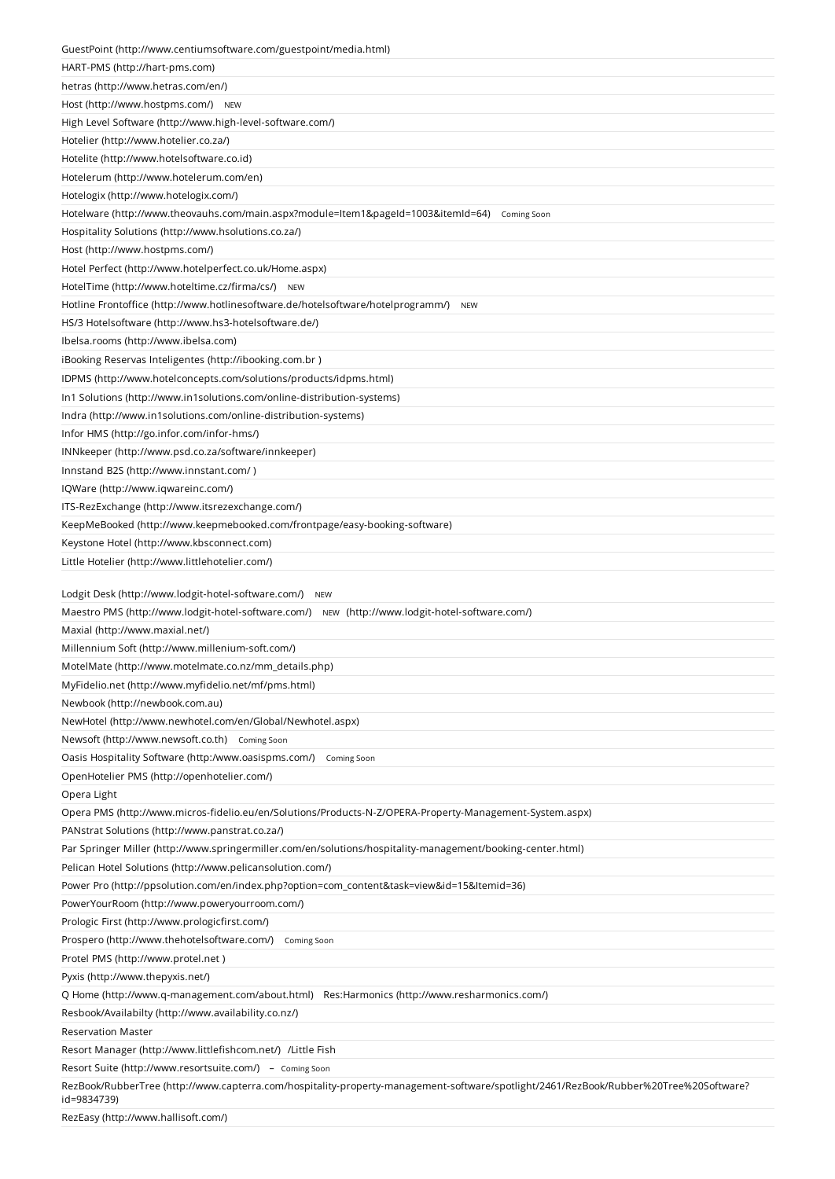| GuestPoint (http://www.centiumsoftware.com/guestpoint/media.html)                                                                                    |
|------------------------------------------------------------------------------------------------------------------------------------------------------|
| HART-PMS (http://hart-pms.com)                                                                                                                       |
| hetras (http://www.hetras.com/en/)                                                                                                                   |
| Host (http://www.hostpms.com/) NEW                                                                                                                   |
| High Level Software (http://www.high-level-software.com/)                                                                                            |
| Hotelier (http://www.hotelier.co.za/)                                                                                                                |
| Hotelite (http://www.hotelsoftware.co.id)                                                                                                            |
| Hotelerum (http://www.hotelerum.com/en)                                                                                                              |
| Hotelogix (http://www.hotelogix.com/)                                                                                                                |
| Hotelware (http://www.theovauhs.com/main.aspx?module=Item1&pageId=1003&itemId=64)<br>Coming Soon                                                     |
| Hospitality Solutions (http://www.hsolutions.co.za/)                                                                                                 |
| Host (http://www.hostpms.com/)                                                                                                                       |
| Hotel Perfect (http://www.hotelperfect.co.uk/Home.aspx)                                                                                              |
| HotelTime (http://www.hoteltime.cz/firma/cs/)<br><b>NEW</b>                                                                                          |
| Hotline Frontoffice (http://www.hotlinesoftware.de/hotelsoftware/hotelprogramm/)<br><b>NEW</b>                                                       |
| HS/3 Hotelsoftware (http://www.hs3-hotelsoftware.de/)                                                                                                |
| Ibelsa.rooms (http://www.ibelsa.com)                                                                                                                 |
| iBooking Reservas Inteligentes (http://ibooking.com.br)                                                                                              |
| IDPMS (http://www.hotelconcepts.com/solutions/products/idpms.html)                                                                                   |
| In1 Solutions (http://www.in1solutions.com/online-distribution-systems)                                                                              |
| Indra (http://www.in1solutions.com/online-distribution-systems)                                                                                      |
| Infor HMS (http://go.infor.com/infor-hms/)                                                                                                           |
| INNkeeper (http://www.psd.co.za/software/innkeeper)                                                                                                  |
| Innstand B2S (http://www.innstant.com/)                                                                                                              |
| IQWare (http://www.iqwareinc.com/)                                                                                                                   |
| ITS-RezExchange (http://www.itsrezexchange.com/)                                                                                                     |
| KeepMeBooked (http://www.keepmebooked.com/frontpage/easy-booking-software)                                                                           |
| Keystone Hotel (http://www.kbsconnect.com)                                                                                                           |
| Little Hotelier (http://www.littlehotelier.com/)                                                                                                     |
|                                                                                                                                                      |
| Lodgit Desk (http://www.lodgit-hotel-software.com/)<br><b>NEW</b>                                                                                    |
| Maestro PMS (http://www.lodgit-hotel-software.com/) NEW (http://www.lodgit-hotel-software.com/)                                                      |
| Maxial (http://www.maxial.net/)                                                                                                                      |
| Millennium Soft (http://www.millenium-soft.com/)                                                                                                     |
| MotelMate (http://www.motelmate.co.nz/mm_details.php)                                                                                                |
| MyFidelio.net (http://www.myfidelio.net/mf/pms.html)                                                                                                 |
| Newbook (http://newbook.com.au)                                                                                                                      |
| NewHotel (http://www.newhotel.com/en/Global/Newhotel.aspx)                                                                                           |
| Newsoft (http://www.newsoft.co.th) Coming Soon                                                                                                       |
| Oasis Hospitality Software (http:/www.oasispms.com/)<br>Coming Soon                                                                                  |
| OpenHotelier PMS (http://openhotelier.com/)                                                                                                          |
| Opera Light                                                                                                                                          |
| Opera PMS (http://www.micros-fidelio.eu/en/Solutions/Products-N-Z/OPERA-Property-Management-System.aspx)                                             |
| PANstrat Solutions (http://www.panstrat.co.za/)                                                                                                      |
| Par Springer Miller (http://www.springermiller.com/en/solutions/hospitality-management/booking-center.html)                                          |
| Pelican Hotel Solutions (http://www.pelicansolution.com/)                                                                                            |
| Power Pro (http://ppsolution.com/en/index.php?option=com_content&task=view&id=15&Itemid=36)                                                          |
| PowerYourRoom (http://www.poweryourroom.com/)                                                                                                        |
|                                                                                                                                                      |
| Prologic First (http://www.prologicfirst.com/)                                                                                                       |
| Prospero (http://www.thehotelsoftware.com/)<br>Coming Soon                                                                                           |
| Protel PMS (http://www.protel.net)                                                                                                                   |
| Pyxis (http://www.thepyxis.net/)                                                                                                                     |
| Q Home (http://www.q-management.com/about.html) Res:Harmonics (http://www.resharmonics.com/)                                                         |
| Resbook/Availabilty (http://www.availability.co.nz/)                                                                                                 |
| <b>Reservation Master</b>                                                                                                                            |
| Resort Manager (http://www.littlefishcom.net/) /Little Fish                                                                                          |
| Resort Suite (http://www.resortsuite.com/) - Coming Soon                                                                                             |
| RezBook/RubberTree (http://www.capterra.com/hospitality-property-management-software/spotlight/2461/RezBook/Rubber%20Tree%20Software?<br>id=9834739) |
| RezEasy (http://www.hallisoft.com/)                                                                                                                  |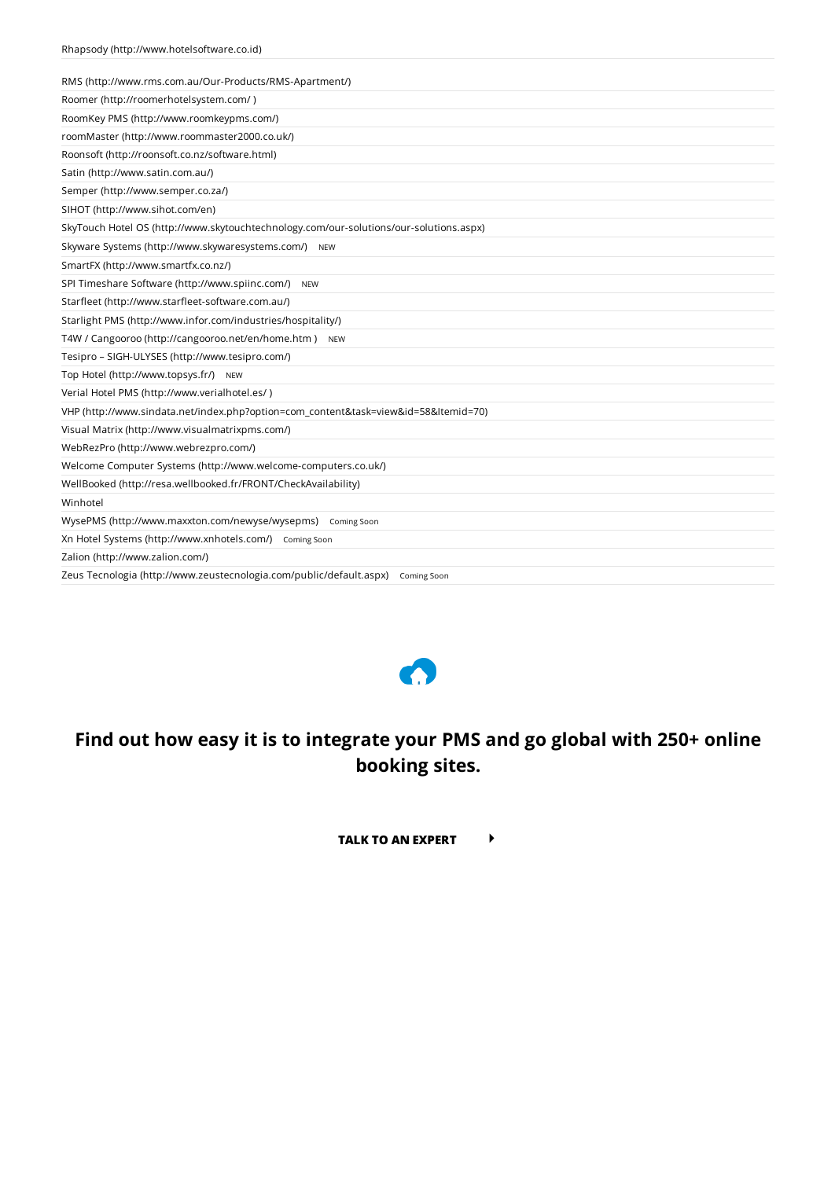| RMS (http://www.rms.com.au/Our-Products/RMS-Apartment/)                                |
|----------------------------------------------------------------------------------------|
| Roomer (http://roomerhotelsystem.com/)                                                 |
| RoomKey PMS (http://www.roomkeypms.com/)                                               |
| roomMaster (http://www.roommaster2000.co.uk/)                                          |
| Roonsoft (http://roonsoft.co.nz/software.html)                                         |
| Satin (http://www.satin.com.au/)                                                       |
| Semper (http://www.semper.co.za/)                                                      |
| SIHOT (http://www.sihot.com/en)                                                        |
| SkyTouch Hotel OS (http://www.skytouchtechnology.com/our-solutions/our-solutions.aspx) |
| Skyware Systems (http://www.skywaresystems.com/) NEW                                   |
| SmartFX (http://www.smartfx.co.nz/)                                                    |
| SPI Timeshare Software (http://www.spiinc.com/)<br><b>NEW</b>                          |
| Starfleet (http://www.starfleet-software.com.au/)                                      |
| Starlight PMS (http://www.infor.com/industries/hospitality/)                           |
| T4W / Cangooroo (http://cangooroo.net/en/home.htm) NEW                                 |
| Tesipro - SIGH-ULYSES (http://www.tesipro.com/)                                        |
| Top Hotel (http://www.topsys.fr/) NEW                                                  |
| Verial Hotel PMS (http://www.verialhotel.es/)                                          |
| VHP (http://www.sindata.net/index.php?option=com_content&task=view&id=58&Itemid=70)    |
| Visual Matrix (http://www.visualmatrixpms.com/)                                        |
| WebRezPro (http://www.webrezpro.com/)                                                  |
| Welcome Computer Systems (http://www.welcome-computers.co.uk/)                         |
| WellBooked (http://resa.wellbooked.fr/FRONT/CheckAvailability)                         |
| Winhotel                                                                               |
| WysePMS (http://www.maxxton.com/newyse/wysepms) Coming Soon                            |
| Xn Hotel Systems (http://www.xnhotels.com/) Coming Soon                                |
| Zalion (http://www.zalion.com/)                                                        |
| Zeus Tecnologia (http://www.zeustecnologia.com/public/default.aspx) Coming Soon        |



# Find out how easy it is to integrate your PMS and go global with 250+ online booking sites.

TALK TO AN EXPERT  $\longrightarrow$